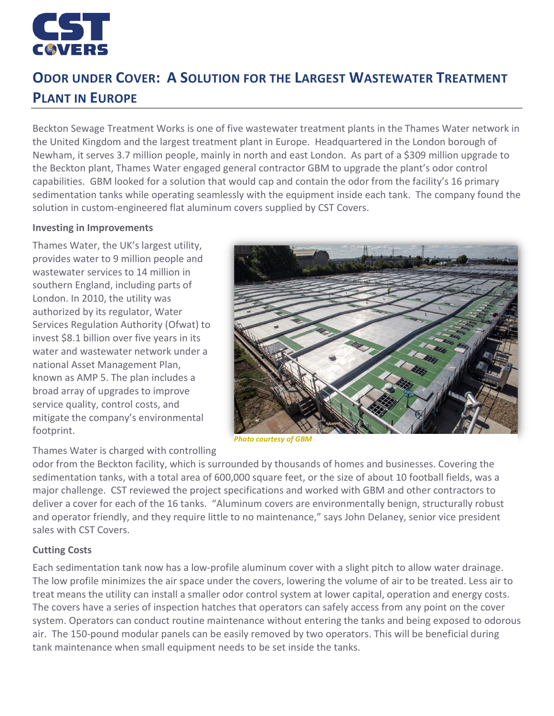

# **ODOR UNDER COVER: A SOLUTION FOR THE LARGEST WASTEWATER TREATMENT PLANT IN EUROPE**

Beckton Sewage Treatment Works is one of five wastewater treatment plants in the Thames Water network in the United Kingdom and the largest treatment plant in Europe. Headquartered in the London borough of Newham, it serves 3.7 million people, mainly in north and east London. As part of a \$309 million upgrade to the Beckton plant, Thames Water engaged general contractor GBM to upgrade the plant's odor control capabilities. GBM looked for a solution that would cap and contain the odor from the facility's 16 primary sedimentation tanks while operating seamlessly with the equipment inside each tank. The company found the solution in custom-engineered flat aluminum covers supplied by CST Covers.

#### **Investing in Improvements**

Thames Water, the UK's largest utility, provides water to 9 million people and wastewater services to 14 million in southern England, including parts of London. In 2010, the utility was authorized by its regulator, Water Services Regulation Authority (Ofwat) to invest \$8.1 billion over five years in its water and wastewater network under a national Asset Management Plan, known as AMP 5. The plan includes a broad array of upgrades to improve service quality, control costs, and mitigate the company's environmental footprint.



*Photo courtesy of GBM*

Thames Water is charged with controlling

odor from the Beckton facility, which is surrounded by thousands of homes and businesses. Covering the sedimentation tanks, with a total area of 600,000 square feet, or the size of about 10 football fields, was a major challenge. CST reviewed the project specifications and worked with GBM and other contractors to deliver a cover for each of the 16 tanks. "Aluminum covers are environmentally benign, structurally robust and operator friendly, and they require little to no maintenance," says John Delaney, senior vice president sales with CST Covers.

## **Cutting Costs**

Each sedimentation tank now has a low-profile aluminum cover with a slight pitch to allow water drainage. The low profile minimizes the air space under the covers, lowering the volume of air to be treated. Less air to treat means the utility can install a smaller odor control system at lower capital, operation and energy costs. The covers have a series of inspection hatches that operators can safely access from any point on the cover system. Operators can conduct routine maintenance without entering the tanks and being exposed to odorous air. The 150-pound modular panels can be easily removed by two operators. This will be beneficial during tank maintenance when small equipment needs to be set inside the tanks.